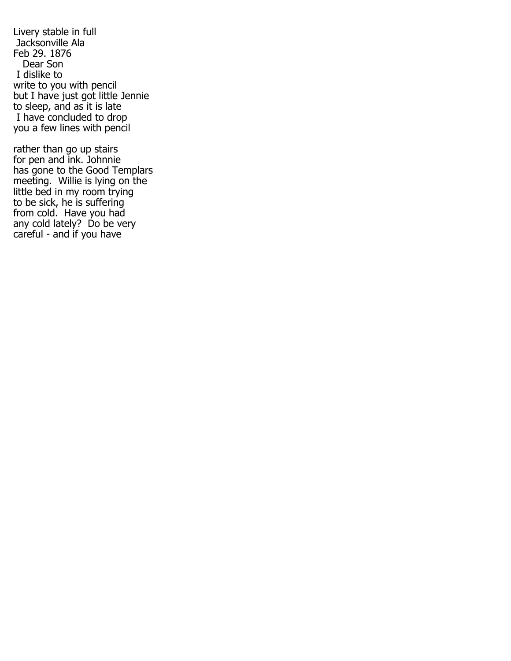Livery stable in full Jacksonville Ala Feb 29. 1876 Dear Son I dislike to write to you with pencil but I have just got little Jennie to sleep, and as it is late I have concluded to drop you a few lines with pencil

rather than go up stairs for pen and ink. Johnnie has gone to the Good Templars meeting. Willie is lying on the little bed in my room trying to be sick, he is suffering from cold. Have you had any cold lately? Do be very careful - and if you have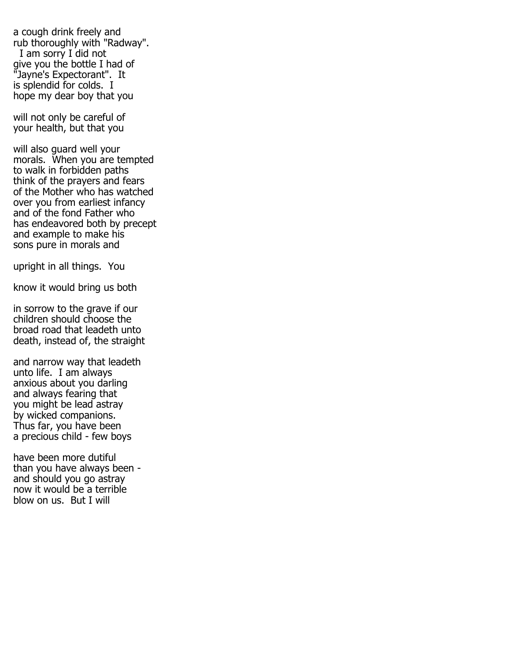a cough drink freely and rub thoroughly with "Radway". I am sorry I did not give you the bottle I had of "Jayne's Expectorant". It is splendid for colds. I hope my dear boy that you

will not only be careful of your health, but that you

will also guard well your morals. When you are tempted to walk in forbidden paths think of the prayers and fears of the Mother who has watched over you from earliest infancy and of the fond Father who has endeavored both by precept and example to make his sons pure in morals and

upright in all things. You

know it would bring us both

in sorrow to the grave if our children should choose the broad road that leadeth unto death, instead of, the straight

and narrow way that leadeth unto life. I am always anxious about you darling and always fearing that you might be lead astray by wicked companions. Thus far, you have been a precious child - few boys

have been more dutiful than you have always been and should you go astray now it would be a terrible blow on us. But I will